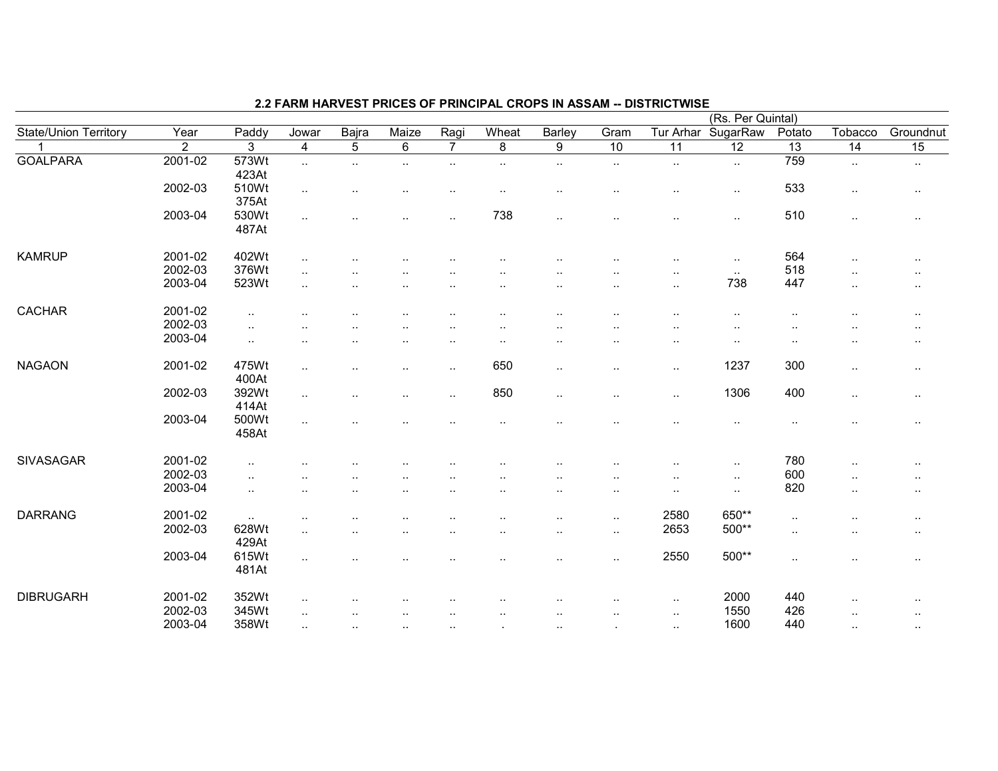|                              |                |                |                         |                |                      |                        |                |                      |                      |                      | (Rs. Per Quintal) |                 |                      |                      |
|------------------------------|----------------|----------------|-------------------------|----------------|----------------------|------------------------|----------------|----------------------|----------------------|----------------------|-------------------|-----------------|----------------------|----------------------|
| <b>State/Union Territory</b> | Year           | Paddy          | Jowar                   | Bajra          | Maize                | Ragi                   | Wheat          | Barley               | Gram                 | Tur Arhar            | SugarRaw          | Potato          | Tobacco              | Groundnut            |
|                              | $\overline{2}$ | 3              | $\overline{\mathbf{4}}$ | $\overline{5}$ | $\overline{6}$       | $\overline{7}$         | $\overline{8}$ | 9                    | 10                   | 11                   | 12                | $\overline{13}$ | $\overline{14}$      | 15                   |
| <b>GOALPARA</b>              | 2001-02        | 573Wt<br>423At | $\ldots$                | $\cdot$ .      | ٠.                   | $\cdot$ .              | $\cdot$ .      | $\cdot$ .            | $\sim$               | $\ddot{\phantom{1}}$ | $\sim$            | 759             | $\ldots$             | $\cdot$ .            |
|                              | 2002-03        | 510Wt<br>375At | $\ldots$                |                |                      | ٠.                     | $\cdot$ .      | ٠.                   | ٠.                   | ٠.                   | $\cdot$ .         | 533             | $\ddotsc$            | $\sim$               |
|                              | 2003-04        | 530Wt<br>487At | $\ddotsc$               |                |                      | ٠.                     | 738            | $\ddot{\phantom{a}}$ |                      | $\ddot{\phantom{a}}$ | $\ddotsc$         | 510             | $\sim$               | $\cdot$ .            |
| <b>KAMRUP</b>                | 2001-02        | 402Wt          | $\ddotsc$               |                |                      |                        |                |                      |                      | ٠.                   | $\ddotsc$         | 564             | $\ddotsc$            | $\cdot$ .            |
|                              | 2002-03        | 376Wt          | $\ddotsc$               |                |                      |                        |                |                      |                      |                      | $\sim$            | 518             | $\ddot{\phantom{a}}$ | $\cdots$             |
|                              | 2003-04        | 523Wt          | $\ddot{\phantom{a}}$    |                |                      |                        |                |                      | $\ddot{\phantom{a}}$ | $\ddotsc$            | 738               | 447             | $\cdot$ .            | $\ddot{\phantom{a}}$ |
|                              |                |                |                         |                |                      |                        |                |                      |                      |                      |                   |                 |                      |                      |
| <b>CACHAR</b>                | 2001-02        | $\cdot$ .      |                         |                |                      |                        |                |                      | ٠.                   | ٠.                   | $\cdot$ .         | ٠.              | ٠.                   | $\cdot$ .            |
|                              | 2002-03        | $\cdot$ .      |                         |                |                      |                        |                |                      |                      |                      |                   |                 |                      | $\cdot$ .            |
|                              | 2003-04        | $\ldots$       |                         |                |                      | ٠.                     | . .            |                      |                      |                      | $\cdot$ .         | ٠.              |                      | $\cdot$ .            |
| <b>NAGAON</b>                | 2001-02        | 475Wt<br>400At | $\ddotsc$               |                |                      | $\ddot{\phantom{a}}$ . | 650            | $\ddotsc$            | $\ldots$             | $\ddotsc$            | 1237              | 300             | $\cdot$ .            | $\cdot$ .            |
|                              | 2002-03        | 392Wt<br>414At | $\sim$                  |                | $\ddot{\phantom{a}}$ | $\ddot{\phantom{a}}$   | 850            | $\cdot$ .            | $\sim$               | $\sim$               | 1306              | 400             | $\sim$               | $\sim$               |
|                              | 2003-04        | 500Wt<br>458At |                         |                |                      |                        |                |                      |                      |                      |                   |                 |                      | $\cdot$ .            |
| <b>SIVASAGAR</b>             | 2001-02        | $\cdot$ .      |                         |                |                      |                        |                |                      |                      |                      |                   | 780             |                      | $\cdot$ .            |
|                              | 2002-03        | $\sim$         |                         |                |                      |                        |                |                      |                      |                      | $\cdot$ .         | 600             |                      | $\cdot$ .            |
|                              | 2003-04        | $\sim$         |                         |                |                      |                        |                | $\cdot$ .            | $\cdot$ .            | ٠.                   | $\sim$            | 820             |                      | $\cdot$ .            |
|                              |                |                |                         |                |                      |                        |                |                      |                      |                      |                   |                 |                      |                      |
| <b>DARRANG</b>               | 2001-02        | $\sim$         | $\ddotsc$               |                |                      |                        |                | ٠.                   | $\sim$               | 2580                 | 650**             | $\ddotsc$       |                      | $\cdot$ .            |
|                              | 2002-03        | 628Wt<br>429At | $\ddotsc$               |                |                      |                        |                | ٠.                   | $\sim$               | 2653                 | 500**             | $\ddotsc$       |                      | $\sim$               |
|                              | 2003-04        | 615Wt<br>481At | $\ddotsc$               |                |                      |                        |                |                      | $\cdot$ .            | 2550                 | 500**             | $\cdot$ .       |                      | $\cdot$ .            |
| <b>DIBRUGARH</b>             | 2001-02        | 352Wt          | $\ddotsc$               |                |                      |                        |                |                      |                      | $\sim$               | 2000              | 440             | $\ddot{\phantom{a}}$ | $\cdot$ .            |
|                              | 2002-03        | 345Wt          | $\ddot{\phantom{a}}$    |                |                      | $\ddot{\phantom{a}}$   | $\cdot$ .      |                      | $\cdot$ .            | $\ddotsc$            | 1550              | 426             | . .                  | $\cdot$ .            |
|                              | 2003-04        | 358Wt          | $\ddotsc$               | $\ldots$       | $\sim$               | $\cdot$ .              |                | $\ddotsc$            | $\cdot$              | $\sim$               | 1600              | 440             | $\cdot$ .            | $\sim$               |
|                              |                |                |                         |                |                      |                        |                |                      |                      |                      |                   |                 |                      |                      |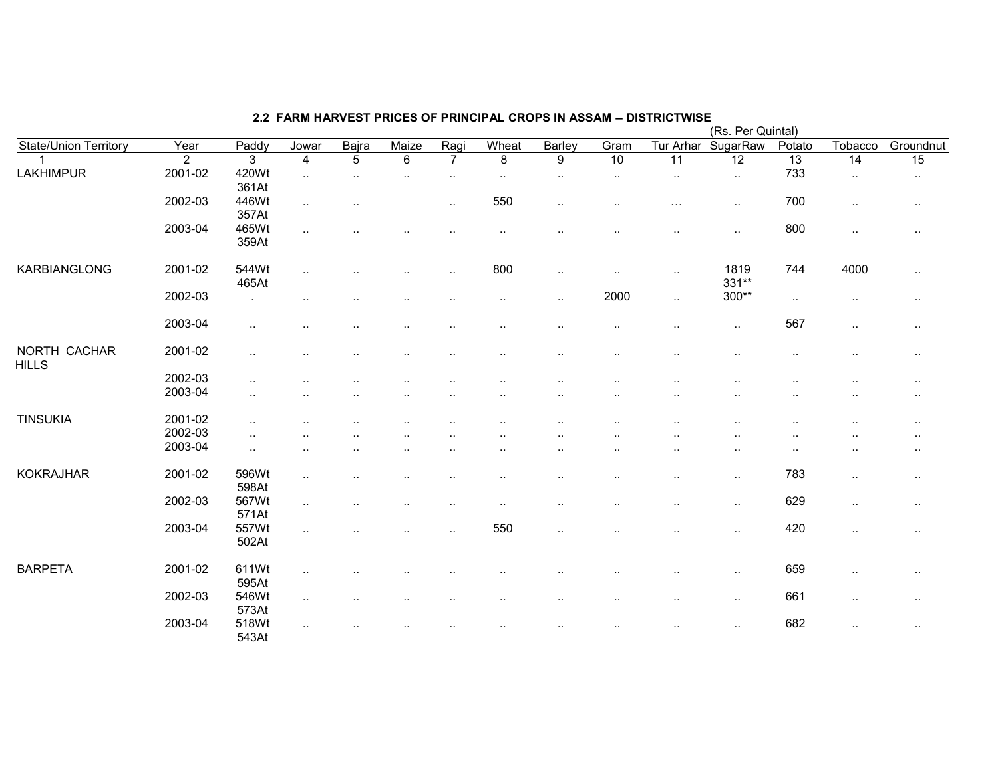|                              |                |                |                         |                |                |                |                      |                |                      |                      | (Rs. Per Quintal)    |           |                 |           |
|------------------------------|----------------|----------------|-------------------------|----------------|----------------|----------------|----------------------|----------------|----------------------|----------------------|----------------------|-----------|-----------------|-----------|
| State/Union Territory        | Year           | Paddy          | Jowar                   | Bajra          | Maize          | Ragi           | Wheat                | Barley         | Gram                 | Tur Arhar            | SugarRaw             | Potato    | Tobacco         | Groundnut |
|                              | $\overline{2}$ | 3              | $\overline{\mathbf{4}}$ | $\overline{5}$ | $\overline{6}$ | $\overline{7}$ | $\overline{8}$       | $\overline{9}$ | 10                   | 11                   | 12                   | 13        | $\overline{14}$ | 15        |
| <b>LAKHIMPUR</b>             | 2001-02        | 420Wt<br>361At | $\sim$                  | $\cdot$ .      | $\cdot$ .      | $\ddotsc$      | $\sim$               | $\cdot$ .      | $\cdot$ .            | $\sim$               | $\sim$               | 733       | $\cdot$ .       | $\cdot$ . |
|                              | 2002-03        | 446Wt<br>357At | $\ddotsc$               |                |                | $\ddotsc$      | 550                  | $\cdot$ .      | $\cdot$ .            | $\sim$ $\sim$ $\sim$ | $\cdot$ .            | 700       | $\cdot$ .       | $\sim$    |
|                              | 2003-04        | 465Wt<br>359At | $\cdot$ .               |                |                |                | $\sim$               |                | $\ddotsc$            | $\ddotsc$            | $\cdot$ .            | 800       | $\sim$          | $\cdot$ . |
| KARBIANGLONG                 | 2001-02        | 544Wt<br>465At | $\ldots$                |                |                | ٠.             | 800                  | $\cdot$ .      | $\sim$               | $\sim$               | 1819<br>331**        | 744       | 4000            | $\sim$    |
|                              | 2002-03        |                | $\ddotsc$               |                | $\cdot$ .      |                | $\cdot$ .            | $\ddotsc$      | 2000                 | $\sim$               | $300**$              | $\sim$    | $\sim$          | $\sim$    |
|                              | 2003-04        | $\ddotsc$      | $\cdot$ .               | $\cdot$ .      | $\cdot$ .      |                | $\cdot$ .            | $\cdot$ .      | $\sim$               | $\ddotsc$            | $\ldots$             | 567       | $\ldots$        | $\sim$    |
| NORTH CACHAR<br><b>HILLS</b> | 2001-02        | $\ddotsc$      |                         |                |                |                | $\ddot{\phantom{a}}$ | $\ddotsc$      | $\sim$               | $\ddotsc$            | $\ddotsc$            | $\cdot$ . | $\ddotsc$       | $\sim$    |
|                              | 2002-03        | $\ddotsc$      |                         |                |                |                | . .                  | $\ddotsc$      | ٠.                   |                      |                      | $\cdot$ . | $\cdot$ .       | $\cdots$  |
|                              | 2003-04        | $\cdot$ .      |                         |                |                |                | . .                  |                | $\ddot{\phantom{a}}$ |                      | . .                  |           |                 | $\cdots$  |
| <b>TINSUKIA</b>              | 2001-02        |                |                         |                |                |                |                      | ٠.             | ٠.                   |                      |                      |           |                 | $\cdots$  |
|                              | 2002-03        | ٠.             |                         |                |                |                |                      |                | $\ddotsc$            |                      |                      |           |                 | $\cdots$  |
|                              | 2003-04        | ٠.             | . .                     |                |                |                |                      |                | ٠.                   |                      | $\ddotsc$            | ٠.        |                 | $\sim$    |
| <b>KOKRAJHAR</b>             | 2001-02        | 596Wt<br>598At | $\cdot$ .               |                |                |                | ٠.                   |                | $\sim$               | $\sim$               | $\cdot$ .            | 783       | $\cdot$ .       | $\sim$    |
|                              | 2002-03        | 567Wt<br>571At | $\ddotsc$               | $\cdot$ .      | $\cdot$ .      | $\sim$         | $\cdot$ .            | $\ddotsc$      | $\ddotsc$            | $\sim$               | $\sim$               | 629       | $\sim$          | $\sim$    |
|                              | 2003-04        | 557Wt<br>502At | $\ddotsc$               |                | $\cdot$ .      | $\ddotsc$      | 550                  | $\cdot$ .      | $\ddotsc$            | $\sim$               | $\ddot{\phantom{1}}$ | 420       | $\ldots$        | $\sim$    |
| <b>BARPETA</b>               | 2001-02        | 611Wt<br>595At | $\sim$                  |                |                |                | ٠.                   | ٠.             | $\ddot{\phantom{1}}$ | $\sim$               | $\cdot$ .            | 659       | $\cdot$ .       | $\cdot$ . |
|                              | 2002-03        | 546Wt<br>573At | $\ddotsc$               | $\cdot$        | $\cdot$        |                | $\cdot$ .            | $\cdots$       | $\sim$               | $\sim$               | $\sim$               | 661       | $\sim$          | $\sim$    |
|                              | 2003-04        | 518Wt<br>543At | $\ldots$                |                | $\cdot$ .      |                | $\cdot$ .            | $\ddotsc$      | $\sim$               | $\sim$               | $\sim$               | 682       | $\ldots$        | $\sim$    |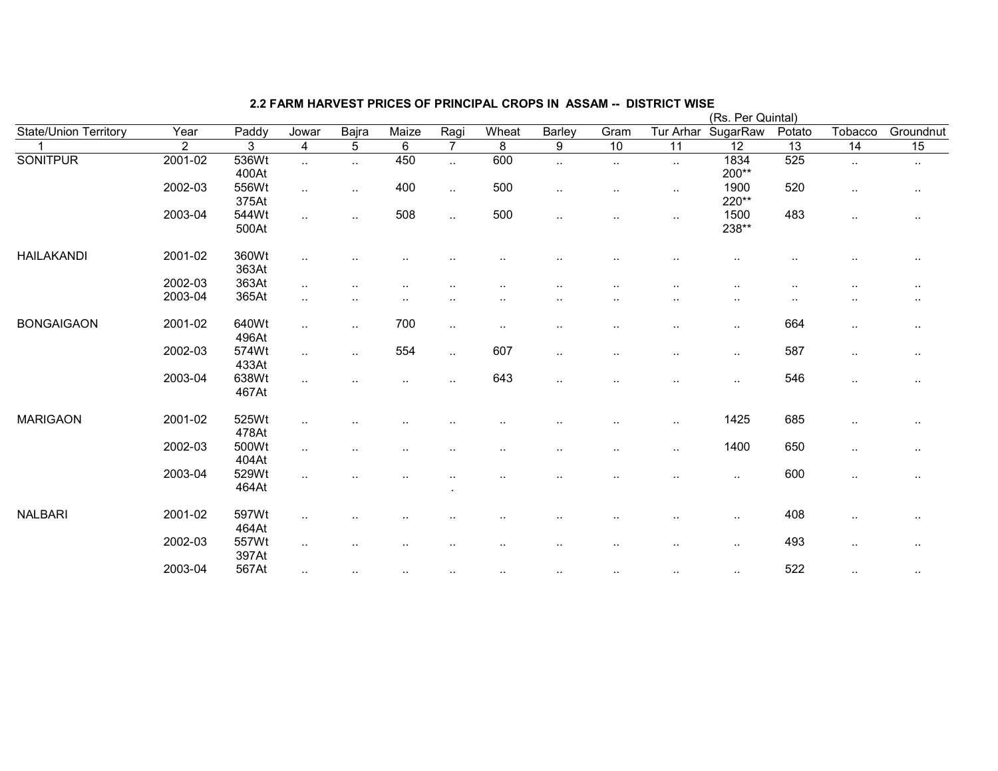|                       |         |       |                        |               |        |                      |                      |                      |                      |           | (Rs. Per Quintal) |        |           |               |
|-----------------------|---------|-------|------------------------|---------------|--------|----------------------|----------------------|----------------------|----------------------|-----------|-------------------|--------|-----------|---------------|
| State/Union Territory | Year    | Paddy | Jowar                  | Bajra         | Maize  | Ragi                 | Wheat                | Barley               | Gram                 | Tur Arhar | SugarRaw          | Potato | Tobacco   | Groundnut     |
|                       | 2       | 3     | 4                      | 5             | 6      | $\overline{7}$       | 8                    | $9\,$                | 10                   | 11        | 12                | 13     | 14        | 15            |
| <b>SONITPUR</b>       | 2001-02 | 536Wt | $\ddotsc$              | $\ddotsc$     | 450    | $\ddotsc$            | 600                  | $\ldots$             | $\ldots$             | $\sim$    | 1834              | 525    | $\sim$    | $\sim$        |
|                       |         | 400At |                        |               |        |                      |                      |                      |                      |           | 200**             |        |           |               |
|                       | 2002-03 | 556Wt | $\ddotsc$              | $\cdot$ .     | 400    | $\sim$               | 500                  | $\sim$               | $\sim$               | $\sim$    | 1900              | 520    | $\sim$    | $\cdot$ .     |
|                       |         | 375At |                        |               |        |                      |                      |                      |                      |           | 220**             |        |           |               |
|                       | 2003-04 | 544Wt | $\ddotsc$              | $\cdot$ .     | 508    | $\ddot{\phantom{1}}$ | 500                  | $\sim$               | $\cdot$ .            | $\sim$    | 1500              | 483    | $\sim$    | $\cdot$ .     |
|                       |         | 500At |                        |               |        |                      |                      |                      |                      |           | 238**             |        |           |               |
| <b>HAILAKANDI</b>     | 2001-02 | 360Wt | $\ddotsc$              |               |        |                      |                      |                      |                      |           |                   |        |           | $\sim$ $\sim$ |
|                       |         | 363At |                        |               |        |                      |                      |                      |                      |           |                   |        |           |               |
|                       | 2002-03 | 363At | $\ddotsc$              | $\cdot$ .     |        |                      | . .                  |                      |                      |           |                   |        |           | $\sim$ $\sim$ |
|                       | 2003-04 | 365At | $\ddotsc$              |               |        |                      |                      |                      |                      | ٠.        | $\sim$            | ٠.     |           |               |
| <b>BONGAIGAON</b>     | 2001-02 | 640Wt | $\ddot{\phantom{1}}$   | $\ldots$      | 700    | $\sim$               | $\sim$               |                      | ٠.                   | $\sim$    | $\sim$            | 664    | $\cdot$ . | $\cdot$ .     |
|                       |         | 496At |                        |               |        |                      |                      |                      |                      |           |                   |        |           |               |
|                       | 2002-03 | 574Wt | $\ddotsc$              | $\ddotsc$     | 554    | $\sim$               | 607                  | $\cdot$ .            | $\ddot{\phantom{a}}$ |           | $\sim$            | 587    | $\sim$    | $\cdot$ .     |
|                       |         | 433At |                        |               |        |                      |                      |                      |                      |           |                   |        |           |               |
|                       | 2003-04 | 638Wt | $\ddotsc$              |               |        | $\ddot{\phantom{a}}$ | 643                  | $\ldots$             |                      |           | $\cdot$ .         | 546    | $\sim$    |               |
|                       |         | 467At |                        |               |        |                      |                      |                      |                      |           |                   |        |           |               |
| <b>MARIGAON</b>       | 2001-02 | 525Wt | $\ddot{\phantom{a}}$   |               |        |                      |                      |                      |                      | $\sim$    | 1425              | 685    |           | $\sim$ $\sim$ |
|                       |         | 478At |                        |               |        |                      |                      |                      |                      |           |                   |        |           |               |
|                       | 2002-03 | 500Wt | $\sim$                 |               |        |                      | . .                  | $\ddot{\phantom{0}}$ | $\sim$ $\sim$        | $\sim$    | 1400              | 650    | $\sim$    | $\cdot$ .     |
|                       |         | 404At |                        |               |        |                      |                      |                      |                      |           |                   |        |           |               |
|                       | 2003-04 | 529Wt | ٠.                     |               |        |                      | $\ddot{\phantom{0}}$ | $\ddot{\phantom{0}}$ |                      | $\sim$    | $\sim$            | 600    | $\sim$    | $\cdot$ .     |
|                       |         | 464At |                        |               |        |                      |                      |                      |                      |           |                   |        |           |               |
| <b>NALBARI</b>        | 2001-02 | 597Wt | $\ddotsc$              |               |        |                      |                      |                      |                      | ٠.        | $\sim$            | 408    | $\sim$    | $\cdot$ .     |
|                       |         | 464At |                        |               |        |                      |                      |                      |                      |           |                   |        |           |               |
|                       | 2002-03 | 557Wt | $\ddot{\phantom{a}}$ . | $\cdot$ .     |        | $\ddot{\phantom{a}}$ |                      |                      | $\cdot$              | $\cdot$ . | $\sim$            | 493    | $\sim$    | $\cdot$ .     |
|                       |         | 397At |                        |               |        |                      |                      |                      |                      |           |                   |        |           |               |
|                       | 2003-04 | 567At | $\sim$                 | $\sim$ $\sim$ | $\sim$ | $\sim$               | $\sim$               | $\cdot$ .            | $\cdots$             |           | $\sim$ $\sim$     | 522    | $\sim$    |               |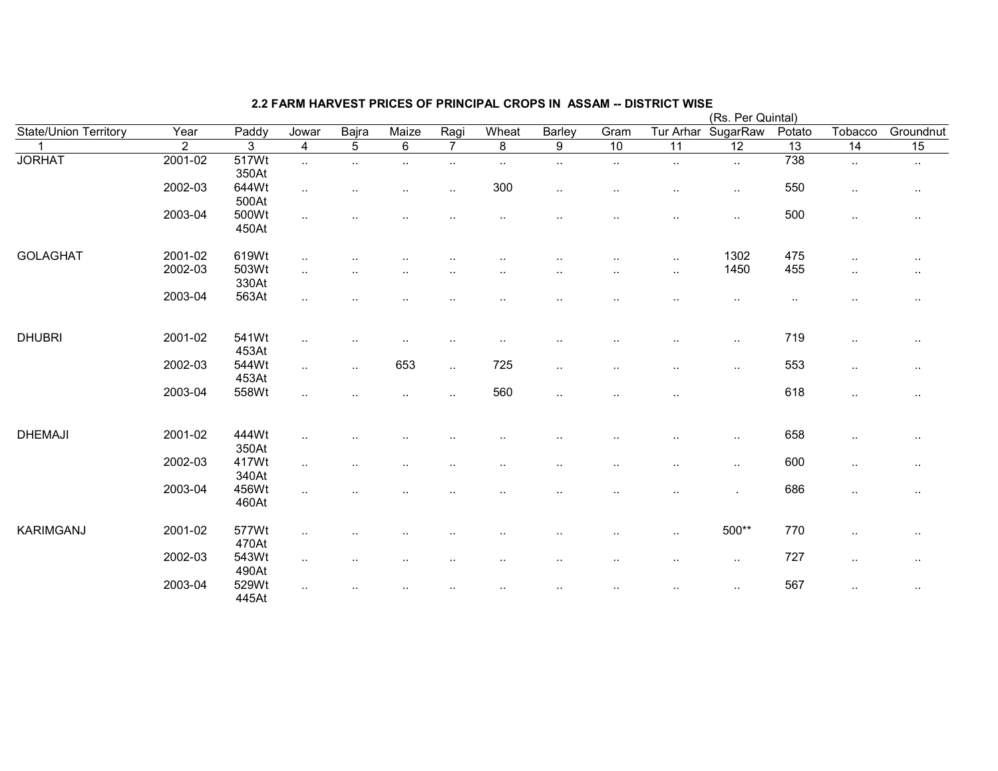|                              |                |                |                         |           |                |                        |           |                      |                      |                      | (Rs. Per Quintal) |                 |                      |                 |
|------------------------------|----------------|----------------|-------------------------|-----------|----------------|------------------------|-----------|----------------------|----------------------|----------------------|-------------------|-----------------|----------------------|-----------------|
| <b>State/Union Territory</b> | Year           | Paddy          | Jowar                   | Bajra     | Maize          | Ragi                   | Wheat     | Barley               | Gram                 | Tur Arhar            | SugarRaw          | Potato          | Tobacco              | Groundnut       |
|                              | $\overline{2}$ | 3              | $\overline{\mathbf{4}}$ | 5         | $6\phantom{1}$ | $\overline{7}$         | 8         | 9                    | 10                   | 11                   | $\overline{12}$   | $\overline{13}$ | $\overline{14}$      | $\overline{15}$ |
| <b>JORHAT</b>                | 2001-02        | 517Wt<br>350At | $\ddotsc$               | $\ldots$  | $\sim$         | $\sim$                 | $\cdot$ . | $\ldots$             | $\sim$               | $\sim$               | $\ldots$          | 738             | $\sim$               | $\sim$          |
|                              | 2002-03        | 644Wt<br>500At | $\sim$                  | $\cdot$ . |                | $\ddot{\phantom{a}}$ . | 300       | $\ddotsc$            | $\cdot$ .            | $\ddot{\phantom{1}}$ | $\ddotsc$         | 550             | $\sim$               | $\sim$          |
|                              | 2003-04        | 500Wt<br>450At | $\sim$                  |           |                |                        |           |                      |                      | $\ddot{\phantom{a}}$ | $\cdot$ .         | 500             | $\ddot{\phantom{1}}$ |                 |
| <b>GOLAGHAT</b>              | 2001-02        | 619Wt          | $\sim$                  |           |                |                        |           |                      |                      | $\sim$               | 1302              | 475             | $\sim$               | $\cdot$ .       |
|                              | 2002-03        | 503Wt<br>330At | $\ddotsc$               |           |                |                        |           |                      | $\cdot$ .            | $\sim$               | 1450              | 455             | $\cdot$ .            | $\sim$          |
|                              | 2003-04        | 563At          | $\sim$                  |           |                |                        |           |                      |                      |                      | $\cdot$ .         | $\sim$          | $\ddotsc$            | $\cdot$ .       |
| <b>DHUBRI</b>                | 2001-02        | 541Wt<br>453At | $\sim$                  |           |                |                        |           |                      |                      | $\ddotsc$            | $\cdot$ .         | 719             | $\sim$               | $\sim$          |
|                              | 2002-03        | 544Wt<br>453At | $\sim$                  | $\sim$    | 653            | $\ddotsc$              | 725       | $\ddot{\phantom{a}}$ | $\cdot$ .            | $\ddotsc$            | $\sim$            | 553             | $\sim$               | $\cdot$ .       |
|                              | 2003-04        | 558Wt          | $\sim$                  |           |                | $\ddot{\phantom{a}}$   | 560       | $\cdot$ .            | $\ddotsc$            | $\sim$               |                   | 618             | $\cdot$ .            | $\cdot$ .       |
| <b>DHEMAJI</b>               | 2001-02        | 444Wt<br>350At | $\ddotsc$               |           |                |                        |           |                      |                      |                      | $\sim$            | 658             | $\cdot$ .            | $\cdot$ .       |
|                              | 2002-03        | 417Wt<br>340At | $\ddotsc$               |           |                |                        |           |                      | $\cdot$ .            | . .                  | $\cdot$ .         | 600             | $\sim$               | $\sim$          |
|                              | 2003-04        | 456Wt<br>460At | $\sim$                  |           |                |                        |           |                      | $\ddot{\phantom{0}}$ | ٠.                   |                   | 686             | $\sim$               | $\cdot$ .       |
| <b>KARIMGANJ</b>             | 2001-02        | 577Wt<br>470At | $\sim$                  |           |                |                        |           |                      |                      | $\sim$               | 500**             | 770             | $\sim$               | $\cdot$ .       |
|                              | 2002-03        | 543Wt<br>490At | $\ddotsc$               |           |                |                        |           |                      | $\cdot$ .            | $\sim$               | $\sim$            | 727             | $\sim$               | $\sim$          |
|                              | 2003-04        | 529Wt<br>445At | $\ddotsc$               |           |                |                        |           |                      | $\cdot$ .            | $\sim$               | $\ldots$          | 567             | $\sim$               | $\cdot$ .       |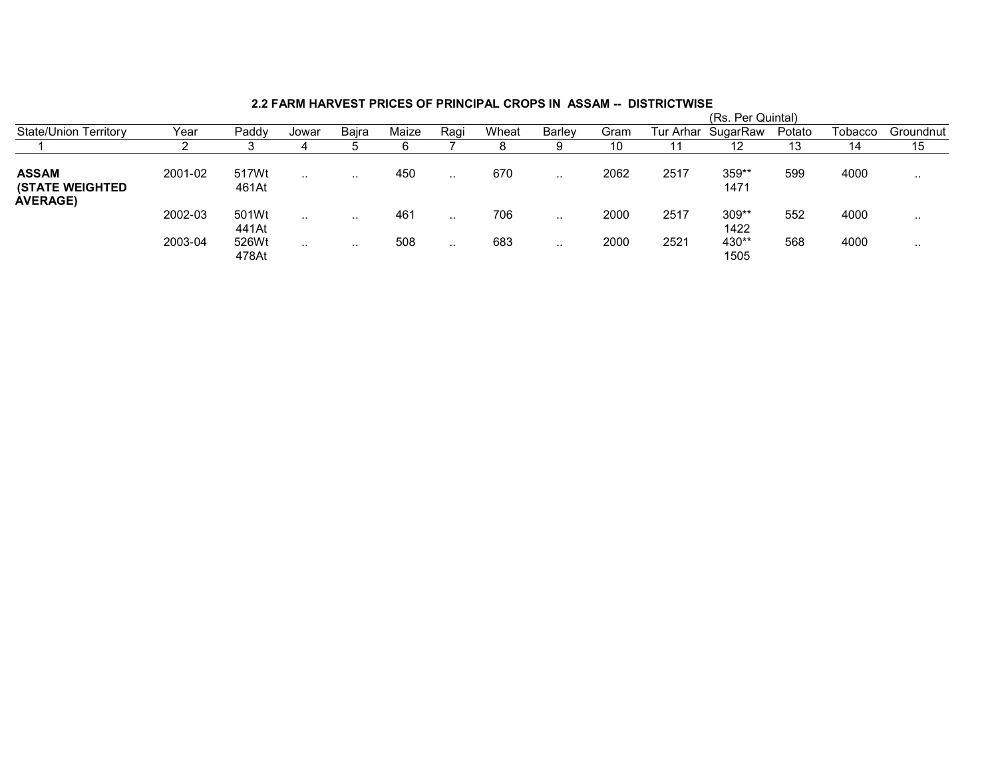|                                                           |         |                |           |           |       |           |       |           |      |           | (RS. Per Quintal) |        |         |           |
|-----------------------------------------------------------|---------|----------------|-----------|-----------|-------|-----------|-------|-----------|------|-----------|-------------------|--------|---------|-----------|
| <b>State/Union Territory</b>                              | Year    | Paddy          | Jowar     | Baira     | Maize | Raqi      | Wheat | Barley    | Gram | Tur Arhar | SugarRaw          | Potato | Tobacco | Groundnut |
|                                                           |         |                |           |           |       |           |       | 9         | 10   |           | 12                | 13     | 14      | 15        |
| <b>ASSAM</b><br><b>(STATE WEIGHTED</b><br><b>AVERAGE)</b> | 2001-02 | 517Wt<br>461At | $\cdot$ . | $\cdot$ . | 450   | .         | 670   | $\cdot$ . | 2062 | 2517      | 359**<br>1471     | 599    | 4000    | . .       |
|                                                           | 2002-03 | 501Wt<br>441At | $\cdot$ . | $\cdots$  | 461   | $\cdot$ . | 706   | $\cdots$  | 2000 | 2517      | 309**<br>1422     | 552    | 4000    | . .       |
|                                                           | 2003-04 | 526Wt<br>478At | $\cdot$ . | $\cdot$ . | 508   | $\cdot$ . | 683   | $\cdots$  | 2000 | 2521      | 430**<br>1505     | 568    | 4000    | . .       |

# 2.2 FARM HARVEST PRICES OF PRINCIPAL CROPS IN ASSAM -- DISTRICTWISE (Rs. Per Quintal)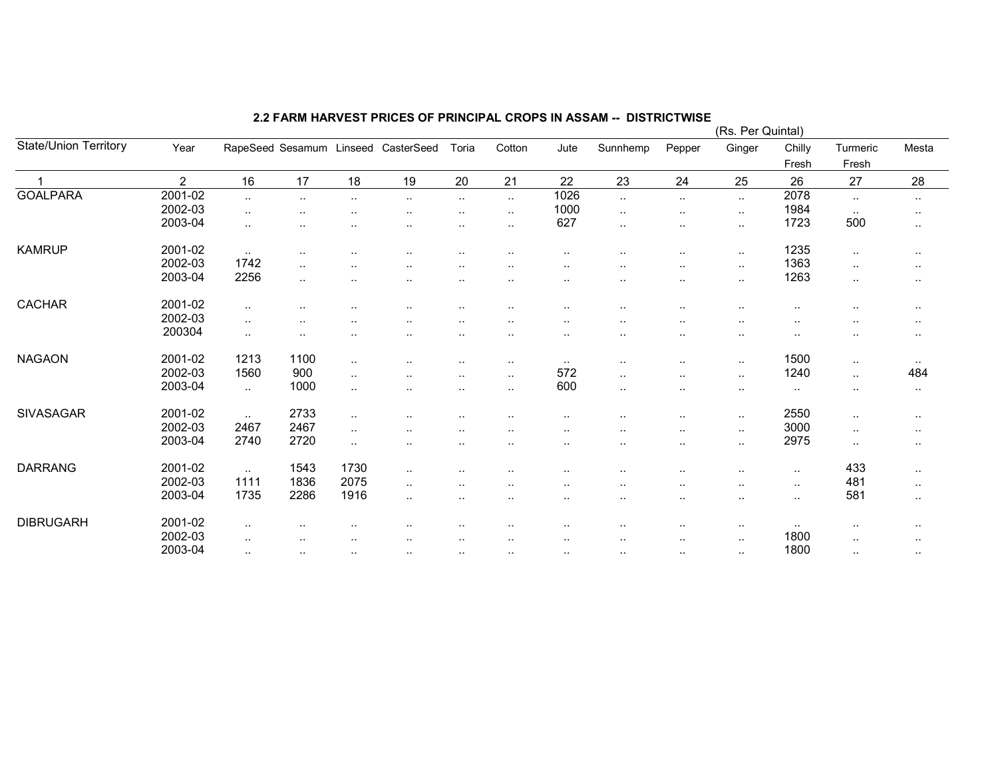|                       |                |                |           |                        |                                     |                      |           |               |               |           | (Rs. Per Quintal) |                      |           |                      |
|-----------------------|----------------|----------------|-----------|------------------------|-------------------------------------|----------------------|-----------|---------------|---------------|-----------|-------------------|----------------------|-----------|----------------------|
| State/Union Territory | Year           |                |           |                        | RapeSeed Sesamum Linseed CasterSeed | Toria                | Cotton    | Jute          | Sunnhemp      | Pepper    | Ginger            | Chilly               | Turmeric  | Mesta                |
|                       |                |                |           |                        |                                     |                      |           |               |               |           |                   | Fresh                | Fresh     |                      |
|                       | $\overline{2}$ | 16             | 17        | 18                     | 19                                  | 20                   | 21        | 22            | 23            | 24        | 25                | 26                   | 27        | 28                   |
| <b>GOALPARA</b>       | 2001-02        | $\cdot$ .      | $\cdot$ . | $\sim$                 | $\sim$                              | $\sim$               | $\ldots$  | 1026          | $\sim$        | $\ldots$  | $\sim$            | 2078                 | $\cdot$ . | $\sim$ $\sim$        |
|                       | 2002-03        | $\ddotsc$      |           |                        | $\sim$                              | $\sim$               | $\cdot$ . | 1000          | $\cdot$ .     | $\cdot$ . | $\sim$            | 1984                 | $\sim$    | $\cdot$ .            |
|                       | 2003-04        | $\cdot$ .      |           |                        |                                     |                      | $\cdot$ . | 627           | $\cdot$ .     | $\sim$    | $\sim$            | 1723                 | 500       | $\cdots$             |
| <b>KAMRUP</b>         | 2001-02        | $\ddotsc$      | $\cdot$ . |                        | $\sim$                              | $\ddot{\phantom{a}}$ | $\cdot$ . | $\sim$        |               | $\cdot$ . | $\sim$            | 1235                 | $\sim$    | $\cdot$ .            |
|                       | 2002-03        | 1742           |           |                        |                                     |                      |           |               |               |           |                   | 1363                 |           |                      |
|                       | 2003-04        | 2256           | $\cdot$ . | $\ddot{\phantom{a}}$   | $\sim$                              | $\ddot{\phantom{a}}$ |           | $\sim$        |               | $\sim$    | $\sim$            | 1263                 | $\cdot$ . | $\cdot$ .            |
|                       |                |                | ٠.        |                        | ٠.                                  | $\ddot{\phantom{a}}$ | $\cdot$ . |               | $\cdot$ .     | $\sim$    | $\sim$            |                      | $\cdot$ . | $\cdot$ .            |
| CACHAR                | 2001-02        | $\cdot$ .      |           |                        |                                     |                      |           |               | $\cdot$ .     | $\cdot$ . | $\sim$            | $\ddot{\phantom{a}}$ | $\cdot$ . | $\sim$               |
|                       | 2002-03        | $\ddotsc$      | ٠.        |                        |                                     |                      |           |               |               |           |                   |                      |           | $\sim$               |
|                       | 200304         | $\cdot$ .      | $\cdot$ . |                        | $\sim$                              | $\sim$               | $\sim$    | $\cdot$ .     |               | $\sim$    | $\cdot$ .         | $\ddot{\phantom{a}}$ |           | $\cdot$ .            |
| <b>NAGAON</b>         | 2001-02        | 1213           | 1100      | $\cdot$ .              |                                     |                      |           |               |               |           |                   | 1500                 |           |                      |
|                       | 2002-03        | 1560           | 900       |                        | $\sim$                              | $\sim$               | $\cdot$ . | $\sim$<br>572 | $\sim$ $\sim$ | $\cdot$ . | $\sim$            | 1240                 | $\cdots$  | $\sim$ $\sim$<br>484 |
|                       | 2003-04        |                | 1000      | $\ddotsc$              | $\ddotsc$                           | $\ddotsc$            | $\cdot$ . | 600           | $\cdot$ .     | $\cdot$ . | $\ddotsc$         |                      | $\ldots$  |                      |
|                       |                | $\sim$         |           | $\ddot{\phantom{a}}$ . | ٠.                                  | $\sim$               | $\cdot$ . |               | $\sim$ $\sim$ | $\sim$    | $\sim$            | $\cdot$ .            | $\cdot$ . | $\sim$               |
| <b>SIVASAGAR</b>      | 2001-02        | $\cdot$ .      | 2733      | $\ddot{\phantom{a}}$   | $\ddotsc$                           |                      |           |               |               | $\sim$    | $\sim$            | 2550                 | $\cdot$ . | $\cdot$ .            |
|                       | 2002-03        | 2467           | 2467      | $\ddot{\phantom{a}}$ . |                                     |                      |           | ٠.            |               | $\sim$    | $\sim$            | 3000                 | $\cdot$ . | $\sim$               |
|                       | 2003-04        | 2740           | 2720      | $\ddot{\phantom{a}}$   | $\sim$                              | $\cdot$ .            |           | $\sim$        |               | $\sim$    | $\sim$            | 2975                 | $\cdot$ . | $\sim$               |
| <b>DARRANG</b>        | 2001-02        |                | 1543      | 1730                   |                                     |                      |           |               |               |           |                   |                      | 433       |                      |
|                       | 2002-03        | $\sim$<br>1111 | 1836      | 2075                   | $\cdot$ .                           | $\ddotsc$            | $\cdot$ . |               |               |           | $\cdot$ .         | $\sim$               | 481       | $\cdot$ .            |
|                       |                |                |           |                        | $\cdot$ .                           | $\sim$               | $\sim$    | $\sim$        | $\sim$        | $\sim$    | $\cdot$ .         | $\sim$               |           | $\cdot$ .            |
|                       | 2003-04        | 1735           | 2286      | 1916                   | $\cdot$ .                           |                      |           | $\sim$        |               | $\sim$    | $\sim$            | $\sim$               | 581       | $\sim$               |
| <b>DIBRUGARH</b>      | 2001-02        | $\cdot$ .      |           | $\ddot{\phantom{a}}$   | $\sim$                              | $\sim$ $\sim$        |           | $\cdot$ .     |               | $\cdots$  | $\sim$            | $\sim$               | $\cdots$  | $\sim$               |
|                       | 2002-03        | $\cdot$ .      |           |                        |                                     |                      | $\cdot$ . | $\cdot$ .     | $\cdot$ .     | $\sim$    | $\cdots$          | 1800                 | $\ddotsc$ | $\cdot$ .            |
|                       | 2003-04        | $\cdot$ .      | $\sim$    | $\sim$                 | $\sim$                              | $\sim$               | $\cdots$  | $\sim$ $\sim$ | $\sim$ $\sim$ | $\cdots$  | $\cdot$ .         | 1800                 | $\cdot$ . | $\sim$               |
|                       |                |                |           |                        |                                     |                      |           |               |               |           |                   |                      |           |                      |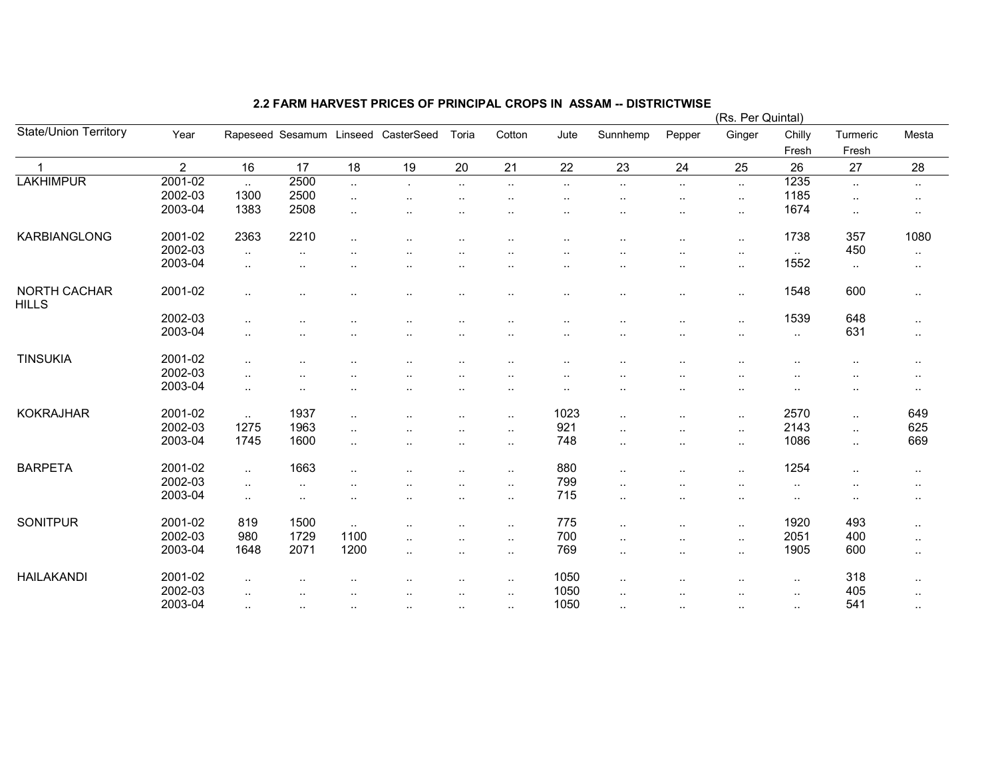|                                     |         |                      |                      |                      |                                     |                      |               |                      |                      |                      | (Rs. Per Quintal) |                      |                   |               |
|-------------------------------------|---------|----------------------|----------------------|----------------------|-------------------------------------|----------------------|---------------|----------------------|----------------------|----------------------|-------------------|----------------------|-------------------|---------------|
| <b>State/Union Territory</b>        | Year    |                      |                      |                      | Rapeseed Sesamum Linseed CasterSeed | Toria                | Cotton        | Jute                 | Sunnhemp             | Pepper               | Ginger            | Chilly<br>Fresh      | Turmeric<br>Fresh | Mesta         |
| $\mathbf 1$                         | 2       | 16                   | 17                   | 18                   | 19                                  | 20                   | 21            | 22                   | 23                   | 24                   | 25                | 26                   | 27                | 28            |
| <b>LAKHIMPUR</b>                    | 2001-02 | $\sim$               | 2500                 | $\ddotsc$            |                                     | $\ddot{\phantom{a}}$ | $\ddotsc$     | $\ddotsc$            | $\cdot$ .            | $\ddotsc$            | $\sim$            | 1235                 | $\sim$            | $\sim$        |
|                                     | 2002-03 | 1300                 | 2500                 | $\ddotsc$            | $\cdot$ .                           |                      |               |                      |                      | $\ddotsc$            | $\sim$            | 1185                 | $\ddotsc$         | $\sim$ $\sim$ |
|                                     | 2003-04 | 1383                 | 2508                 | $\ddotsc$            |                                     |                      |               |                      |                      | ٠.                   | $\sim$            | 1674                 | $\sim$            |               |
|                                     |         |                      |                      |                      |                                     |                      |               |                      |                      |                      |                   |                      |                   | $\sim$        |
| KARBIANGLONG                        | 2001-02 | 2363                 | 2210                 | $\sim$ .             | $\ddot{\phantom{a}}$                | $\ddotsc$            |               |                      |                      | $\cdot$ .            | $\ddotsc$         | 1738                 | 357               | 1080          |
|                                     | 2002-03 | $\ddotsc$            | $\ddotsc$            |                      |                                     |                      |               |                      |                      | $\ddot{\phantom{0}}$ | $\cdot$ .         | $\sim$               | 450               | $\sim$        |
|                                     | 2003-04 | $\sim$               | $\ddotsc$            |                      |                                     |                      |               |                      |                      | $\cdot$ .            | $\sim$            | 1552                 | $\sim$            | $\sim$        |
|                                     |         |                      |                      |                      |                                     |                      |               |                      |                      |                      |                   |                      |                   |               |
| <b>NORTH CACHAR</b><br><b>HILLS</b> | 2001-02 | $\ddotsc$            | $\ddotsc$            |                      | $\ddot{\phantom{a}}$                | $\ddotsc$            |               |                      |                      | $\sim$               | $\sim$            | 1548                 | 600               | $\sim$        |
|                                     | 2002-03 | $\cdot$ .            |                      |                      |                                     |                      |               |                      |                      | $\ddotsc$            | $\sim$            | 1539                 | 648               | $\sim$        |
|                                     | 2003-04 | $\sim$               |                      |                      | $\ddot{\phantom{a}}$                |                      |               | . .                  |                      | $\cdot$ .            | $\sim$            | $\sim$               | 631               | $\sim$        |
|                                     |         |                      |                      |                      |                                     |                      |               |                      |                      |                      |                   |                      |                   |               |
| <b>TINSUKIA</b>                     | 2001-02 | $\ddotsc$            |                      |                      |                                     |                      |               |                      |                      |                      |                   |                      | $\ddotsc$         | $\sim$        |
|                                     | 2002-03 | $\sim$               | $\ddot{\phantom{a}}$ |                      | $\ddot{\phantom{a}}$                |                      |               |                      |                      | $\ddotsc$            |                   | $\ddot{\phantom{a}}$ | $\sim$            | $\sim$        |
|                                     | 2003-04 | $\sim$               | $\ddot{\phantom{a}}$ | $\ddot{\phantom{a}}$ | $\ddot{\phantom{a}}$                | $\ddot{\phantom{a}}$ | $\cdot$ .     | $\ddot{\phantom{a}}$ | $\cdot$ .            | $\cdot$ .            | $\sim$            | $\ddot{\phantom{a}}$ | $\cdot$ .         | $\sim$        |
|                                     |         |                      |                      |                      |                                     |                      |               |                      |                      |                      |                   |                      |                   |               |
| <b>KOKRAJHAR</b>                    | 2001-02 | $\sim$               | 1937                 | $\sim$ $\sim$        | $\ddot{\phantom{a}}$                | $\ddot{\phantom{a}}$ | $\cdot$ .     | 1023                 | $\ddot{\phantom{a}}$ | $\ddotsc$            | $\sim$            | 2570                 | $\ldots$          | 649           |
|                                     | 2002-03 | 1275                 | 1963                 | $\cdot$ .            | $\ddot{\phantom{a}}$                | $\ddot{\phantom{a}}$ | $\cdot$ .     | 921                  |                      | $\cdot$ .            | $\sim$            | 2143                 | $\sim$            | 625           |
|                                     | 2003-04 | 1745                 | 1600                 | $\ddotsc$            | $\ddot{\phantom{a}}$                | $\ddotsc$            | $\ldots$      | 748                  | $\cdot$ .            | $\sim$               | $\sim$            | 1086                 | $\ldots$          | 669           |
|                                     |         |                      |                      |                      |                                     |                      |               |                      |                      |                      |                   |                      |                   |               |
| <b>BARPETA</b>                      | 2001-02 | $\ddotsc$            | 1663                 | $\cdot$ .            |                                     |                      | $\cdot$ .     | 880                  | $\ddot{\phantom{a}}$ |                      | $\ddotsc$         | 1254                 | $\cdot$ .         | $\sim$        |
|                                     | 2002-03 | $\ldots$             | $\ddotsc$            | ٠.                   | $\ddot{\phantom{a}}$                | $\ddotsc$            | $\ddotsc$     | 799                  | $\cdot$ .            | $\sim$               | $\sim$            | $\sim$               | $\sim$            | $\sim$        |
|                                     | 2003-04 | $\sim$               | $\sim$               | $\cdot$ .            | $\cdot$ .                           | $\cdot$ .            | $\sim$        | 715                  | $\cdot$ .            | $\cdot$ .            | $\sim$            | $\sim$ $\sim$        | $\sim$            | $\sim$        |
|                                     |         |                      |                      |                      |                                     |                      |               |                      |                      |                      |                   |                      |                   |               |
| <b>SONITPUR</b>                     | 2001-02 | 819                  | 1500                 | $\sim$               | $\ddot{\phantom{a}}$                |                      | $\cdot$ .     | 775                  | $\ddotsc$            | $\cdot$ .            | $\sim$            | 1920                 | 493               | $\sim$        |
|                                     | 2002-03 | 980                  | 1729                 | 1100                 | $\ddotsc$                           | $\ddot{\phantom{a}}$ | $\cdot$ .     | 700                  | $\ddotsc$            | $\cdot$ .            | $\sim$            | 2051                 | 400               | $\sim$        |
|                                     | 2003-04 | 1648                 | 2071                 | 1200                 | $\ddotsc$                           | $\ddot{\phantom{a}}$ | $\ldots$      | 769                  | $\ldots$             | $\cdot$ .            | $\sim$            | 1905                 | 600               | $\sim$        |
|                                     |         |                      |                      |                      |                                     |                      |               |                      |                      |                      |                   |                      |                   |               |
| <b>HAILAKANDI</b>                   | 2001-02 | $\cdot$ .            |                      |                      |                                     |                      | $\sim$ $\sim$ | 1050                 |                      |                      |                   | $\sim$               | 318               | $\sim$ $\sim$ |
|                                     | 2002-03 | $\ddotsc$            |                      |                      | $\ddotsc$                           |                      | $\cdot$ .     | 1050                 | $\ldots$             | $\cdot$ .            | $\ddotsc$         | $\ldots$             | 405               | $\sim$        |
|                                     | 2003-04 | $\ddot{\phantom{a}}$ | $\sim$               | $\cdot$ .            | $\ddot{\phantom{a}}$                |                      | $\ddotsc$     | 1050                 | $\cdot$ .            | $\cdot$ .            | $\ddotsc$         | $\sim$ $\sim$        | 541               | $\sim$        |
|                                     |         |                      |                      |                      |                                     |                      |               |                      |                      |                      |                   |                      |                   |               |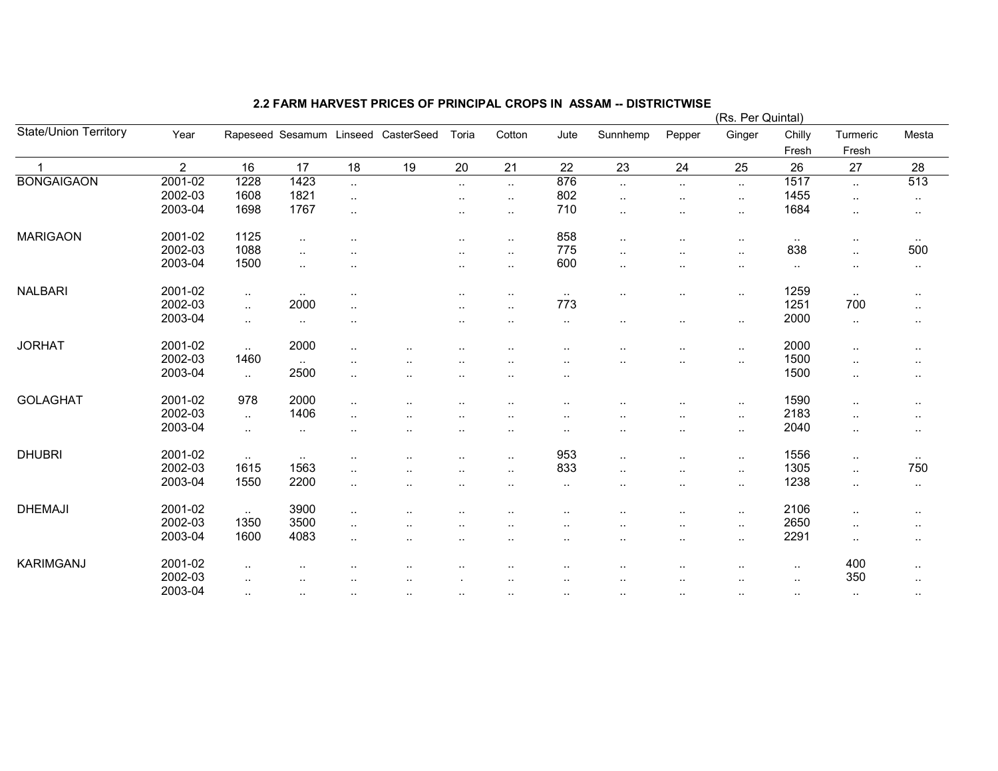|                              |         |           |               |                      |                                     |                      |                      |                      |                      |                      | (Rs. Per Quintal)    |                 |                   |           |
|------------------------------|---------|-----------|---------------|----------------------|-------------------------------------|----------------------|----------------------|----------------------|----------------------|----------------------|----------------------|-----------------|-------------------|-----------|
| <b>State/Union Territory</b> | Year    |           |               |                      | Rapeseed Sesamum Linseed CasterSeed | Toria                | Cotton               | Jute                 | Sunnhemp             | Pepper               | Ginger               | Chilly<br>Fresh | Turmeric<br>Fresh | Mesta     |
| $\mathbf 1$                  | 2       | 16        | 17            | 18                   | 19                                  | 20                   | 21                   | 22                   | 23                   | 24                   | 25                   | 26              | 27                | 28        |
| <b>BONGAIGAON</b>            | 2001-02 | 1228      | 1423          | $\ddotsc$            |                                     | $\sim$               | $\cdot$ .            | 876                  | $\ddotsc$            | $\ldots$             | $\sim$               | 1517            | $\ddotsc$         | 513       |
|                              | 2002-03 | 1608      | 1821          | $\sim$               |                                     | $\sim$               | $\cdot$ .            | 802                  | $\ldots$             | $\cdot$ .            | $\sim$               | 1455            | $\sim$            |           |
|                              | 2003-04 | 1698      | 1767          |                      |                                     |                      |                      | 710                  |                      |                      |                      | 1684            |                   | $\sim$    |
|                              |         |           |               | $\ldots$             |                                     | $\sim$               | $\ddotsc$            |                      | $\cdot$ .            | $\sim$               | $\sim$               |                 | $\cdot$ .         | $\cdot$ . |
| <b>MARIGAON</b>              | 2001-02 | 1125      | $\sim$        | $\ddot{\phantom{a}}$ |                                     | $\sim$               | $\sim$               | 858                  | $\ldots$             |                      | $\sim$               | $\sim$          | $\cdot$ .         | $\sim$    |
|                              | 2002-03 | 1088      | $\ddotsc$     | $\cdot$ .            |                                     | $\sim$               | $\cdot$ .            | 775                  | $\ddotsc$            | $\ddot{\phantom{a}}$ | $\sim$               | 838             | $\ddotsc$         | 500       |
|                              | 2003-04 | 1500      | $\ddotsc$     | $\ddotsc$            |                                     | $\ddotsc$            | $\ddot{\phantom{a}}$ | 600                  | $\ddotsc$            | $\ddotsc$            | $\sim$               | $\sim$          | $\cdot$ .         | $\sim$    |
|                              |         |           |               |                      |                                     |                      |                      |                      |                      |                      |                      |                 |                   |           |
| <b>NALBARI</b>               | 2001-02 | $\sim$    | $\sim$ $\sim$ | $\cdot$ .            |                                     | ٠.                   | $\ddotsc$            | $\sim$               |                      | ٠.                   | $\sim$               | 1259            | $\ldots$          | $\cdot$ . |
|                              | 2002-03 | $\ddotsc$ | 2000          | $\ldots$             |                                     | $\ddotsc$            |                      | 773                  |                      |                      |                      | 1251            | 700               | $\cdot$ . |
|                              | 2003-04 | $\sim$    | $\sim$        | ٠.                   |                                     | ٠.                   | $\cdot$ .            | $\ddotsc$            |                      | ٠.                   | $\sim$               | 2000            | $\ldots$          | $\cdot$ . |
|                              |         |           |               |                      |                                     |                      |                      |                      |                      |                      |                      |                 |                   |           |
| <b>JORHAT</b>                | 2001-02 | $\sim$    | 2000          | $\ddotsc$            |                                     |                      |                      |                      |                      |                      | $\ddot{\phantom{1}}$ | 2000            | $\ddotsc$         | $\sim$    |
|                              | 2002-03 | 1460      | $\sim$        | $\ddotsc$            |                                     |                      |                      |                      |                      | ٠.                   | $\sim$               | 1500            | $\cdot$ .         | $\cdot$ . |
|                              | 2003-04 | $\sim$    | 2500          | $\cdot$ .            | ٠.                                  |                      |                      |                      |                      |                      |                      | 1500            | $\cdot$ .         | $\sim$    |
|                              |         |           |               |                      |                                     |                      |                      |                      |                      |                      |                      |                 |                   |           |
| <b>GOLAGHAT</b>              | 2001-02 | 978       | 2000          | $\ldots$             | ٠.                                  |                      | $\cdot$ .            | $\cdot$ .            |                      | $\ddotsc$            | $\ddotsc$            | 1590            | $\cdot$ .         | $\cdot$ . |
|                              | 2002-03 | $\sim$    | 1406          | $\cdot$ .            | ٠.                                  |                      |                      |                      |                      | ٠.                   | $\sim$               | 2183            | $\cdot$ .         | $\sim$    |
|                              | 2003-04 | $\sim$    | $\sim$        | $\sim$               | $\sim$                              | $\cdot$ .            | $\sim$ $\sim$        | $\sim$               | $\cdot$ .            | $\ddot{\phantom{a}}$ | $\sim$               | 2040            | $\cdot$ .         | $\sim$    |
|                              |         |           |               |                      |                                     |                      |                      |                      |                      |                      |                      |                 |                   |           |
| <b>DHUBRI</b>                | 2001-02 | $\ddotsc$ | $\sim$ $\sim$ | $\cdot$ .            | $\ddotsc$                           | $\ddotsc$            |                      | 953                  | $\cdot$ .            | $\ldots$             | $\sim$               | 1556            | $\ldots$          | $\sim$    |
|                              | 2002-03 | 1615      | 1563          | $\ldots$             |                                     |                      | $\ddotsc$            | 833                  |                      | $\ddot{\phantom{a}}$ | $\sim$               | 1305            | $\ddotsc$         | 750       |
|                              | 2003-04 | 1550      | 2200          | $\ldots$             | ٠.                                  | $\ddot{\phantom{a}}$ |                      | $\sim$               | $\cdot$ .            | ٠.                   | $\cdot$ .            | 1238            | $\cdot$ .         | $\ddotsc$ |
|                              |         |           |               |                      |                                     |                      |                      |                      |                      |                      |                      |                 |                   |           |
| <b>DHEMAJI</b>               | 2001-02 | $\sim$    | 3900          | $\sim$               | ٠.                                  |                      |                      |                      |                      | ٠.                   | $\sim$               | 2106            | $\cdot$ .         | $\sim$    |
|                              | 2002-03 | 1350      | 3500          | $\ldots$             | $\cdot$ .                           |                      |                      |                      |                      | $\ddot{\phantom{a}}$ | $\sim$               | 2650            | $\cdot$ .         | $\cdot$ . |
|                              | 2003-04 | 1600      | 4083          | $\sim$               | $\ddotsc$                           |                      |                      | $\sim$ $\sim$        |                      | $\sim$               | $\sim$               | 2291            | $\cdot$ .         |           |
|                              |         |           |               |                      |                                     |                      |                      |                      |                      |                      |                      |                 |                   | $\sim$    |
| KARIMGANJ                    | 2001-02 | $\cdot$ . |               |                      |                                     |                      |                      |                      |                      |                      | $\ddotsc$            | $\ddotsc$       | 400               | $\cdot$ . |
|                              | 2002-03 | $\ddotsc$ | ٠.            |                      |                                     |                      |                      | $\cdot$ .            |                      | $\cdot$ .            | $\cdot$ .            | $\sim$          | 350               | $\cdot$ . |
|                              | 2003-04 | $\sim$    | $\sim$        | $\sim$               | $\ddotsc$                           | $\ddotsc$            |                      | $\ddot{\phantom{a}}$ | $\ddot{\phantom{a}}$ | $\cdot$ .            | $\sim$               | $\sim$          | $\sim$            |           |
|                              |         |           |               |                      |                                     |                      |                      |                      |                      |                      |                      |                 |                   | $\sim$    |